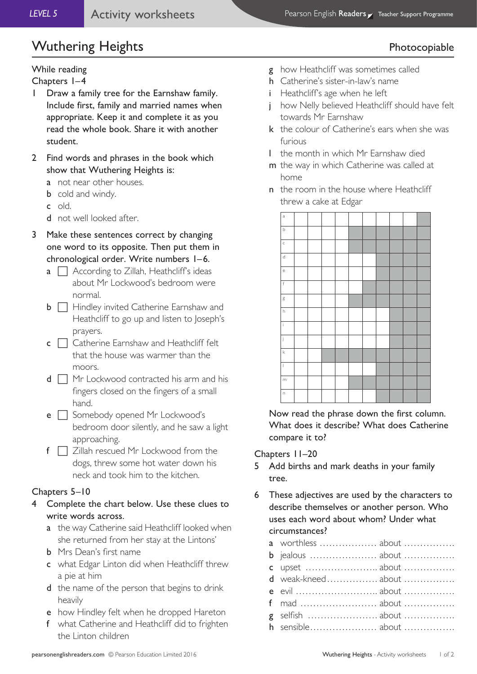# Wuthering Heights **Photocopiable**

### While reading

Chapters 1–4

- 1 Draw a family tree for the Earnshaw family. Include first, family and married names when appropriate. Keep it and complete it as you read the whole book. Share it with another student.
- 2 Find words and phrases in the book which show that Wuthering Heights is:
	- a not near other houses.
	- **b** cold and windy.
	- c old.
	- d not well looked after.
- 3 Make these sentences correct by changing one word to its opposite. Then put them in chronological order. Write numbers 1–6.
	- $a \cap$  According to Zillah, Heathcliff's ideas about Mr Lockwood's bedroom were normal.
	- $\mathbf{b} \Box$  Hindley invited Catherine Earnshaw and Heathcliff to go up and listen to Joseph's prayers.
	- $c \cap$  Catherine Earnshaw and Heathcliff felt that the house was warmer than the moors.
	- $d \prod$  Mr Lockwood contracted his arm and his fingers closed on the fingers of a small hand.
	- $e \cap$  Somebody opened Mr Lockwood's bedroom door silently, and he saw a light approaching.
	- $f \Box$  Zillah rescued Mr Lockwood from the dogs, threw some hot water down his neck and took him to the kitchen.

### Chapters 5–10

- 4 Complete the chart below. Use these clues to write words across.
	- a the way Catherine said Heathcliff looked when she returned from her stay at the Lintons'
	- b Mrs Dean's first name
	- c what Edgar Linton did when Heathcliff threw a pie at him
	- d the name of the person that begins to drink heavily
	- e how Hindley felt when he dropped Hareton
	- f what Catherine and Heathcliff did to frighten the Linton children

- g how Heathcliff was sometimes called
- h Catherine's sister-in-law's name
- i Heathcliff's age when he left
- j how Nelly believed Heathcliff should have felt towards Mr Earnshaw
- k the colour of Catherine's ears when she was furious
- l the month in which Mr Earnshaw died
- m the way in which Catherine was called at home
- n the room in the house where Heathcliff threw a cake at Edgar



Now read the phrase down the first column. What does it describe? What does Catherine compare it to?

Chapters 11–20

- 5 Add births and mark deaths in your family tree.
- 6 These adjectives are used by the characters to describe themselves or another person. Who uses each word about whom? Under what circumstances?

| a worthless  about                                                  |
|---------------------------------------------------------------------|
|                                                                     |
| c upset $\ldots$ $\ldots$ $\ldots$ $\ldots$ $\ldots$ about $\ldots$ |
| d weak-kneed about                                                  |
|                                                                     |
|                                                                     |
|                                                                     |
|                                                                     |
|                                                                     |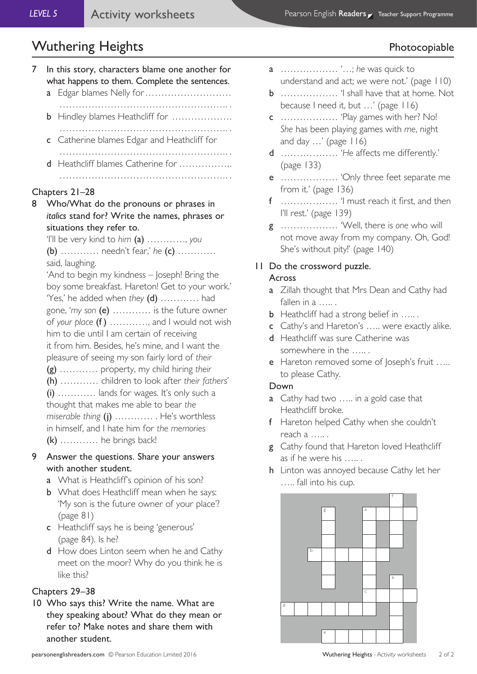# Wuthering Heights **Photocopiable**

|   |                                                                                                                                                                                                                                                                                                                                                                                                                                                                                                                                                                                                                                                                                                                                                        | ס <sup>.  .</sup><br>.                                                                                                                                |  |
|---|--------------------------------------------------------------------------------------------------------------------------------------------------------------------------------------------------------------------------------------------------------------------------------------------------------------------------------------------------------------------------------------------------------------------------------------------------------------------------------------------------------------------------------------------------------------------------------------------------------------------------------------------------------------------------------------------------------------------------------------------------------|-------------------------------------------------------------------------------------------------------------------------------------------------------|--|
| 7 | $\mathbf{a}$                                                                                                                                                                                                                                                                                                                                                                                                                                                                                                                                                                                                                                                                                                                                           | In this story, characters blame one another for<br>what happens to them. Complete the sentences.<br>Edgar blames Nelly for                            |  |
|   |                                                                                                                                                                                                                                                                                                                                                                                                                                                                                                                                                                                                                                                                                                                                                        | <b>b</b> Hindley blames Heathcliff for                                                                                                                |  |
|   |                                                                                                                                                                                                                                                                                                                                                                                                                                                                                                                                                                                                                                                                                                                                                        | c Catherine blames Edgar and Heathcliff for                                                                                                           |  |
|   | d                                                                                                                                                                                                                                                                                                                                                                                                                                                                                                                                                                                                                                                                                                                                                      | Heathcliff blames Catherine for                                                                                                                       |  |
| 8 | Chapters 21-28<br>Who/What do the pronouns or phrases in<br>italics stand for? Write the names, phrases or<br>situations they refer to.<br>'I'll be very kind to him $(a)$ , you<br>(b)  needn't fear,' he (c)<br>said, laughing.<br>'And to begin my kindness - Joseph! Bring the<br>boy some breakfast. Hareton! Get to your work.'<br>'Yes,' he added when they (d)  had<br>gone, 'my son $(e)$ is the future owner<br>of your place (f) , and I would not wish<br>him to die until I am certain of receiving<br>it from him. Besides, he's mine, and I want the<br>pleasure of seeing my son fairly lord of their<br>(g)  property, my child hiring their<br>(h)  children to look after their fathers'<br>$(i)$ lands for wages. It's only such a |                                                                                                                                                       |  |
|   |                                                                                                                                                                                                                                                                                                                                                                                                                                                                                                                                                                                                                                                                                                                                                        | thought that makes me able to bear the<br>miserable thing (j)  He's worthless<br>in himself, and I hate him for the memories<br>$(k)$ he brings back! |  |

- 9 Answer the questions. Share your answers with another student.
	- a What is Heathcliff's opinion of his son?
	- **b** What does Heathcliff mean when he says: 'My son is the future owner of your place'? (page 81)
	- c Heathcliff says he is being 'generous' (page 84). Is he?
	- d How does Linton seem when he and Cathy meet on the moor? Why do you think he is like this?

### Chapters 29–38

10 Who says this? Write the name. What are they speaking about? What do they mean or refer to? Make notes and share them with another student.

- a ……………… '…; *he* was quick to understand and act; *we* were not.' (page 110)
- b ……………… 'I shall have that at home. Not because I need it, but …' (page 116)
- c ……………… 'Play games with her? No! *She* has been playing games with *me*, night and day …' (page 116)
- d ……………… '*He* affects me differently.' (page 133)
- e ……………… 'Only three feet separate me from it.' (page 136)
- f ……………… 'I must reach it first, and then I'll rest.' (page 139)
- g ……………… 'Well, there is *one* who will not move away from my company. Oh, God! She's without pity!' (page 140)

# 11 Do the crossword puzzle.

## Across

- **a** Zillah thought that Mrs Dean and Cathy had fallen in a …….
- **b** Heathcliff had a strong belief in …...
- c Cathy's and Hareton's ….. were exactly alike.
- d Heathcliff was sure Catherine was somewhere in the …...
- e Hareton removed some of Joseph's fruit ..... to please Cathy.

# Down

- a Cathy had two ..... in a gold case that Heathcliff broke.
- f Hareton helped Cathy when she couldn't reach a ….. .
- g Cathy found that Hareton loved Heathcliff as if he were his …...
- h Linton was annoyed because Cathy let her ….. fall into his cup.

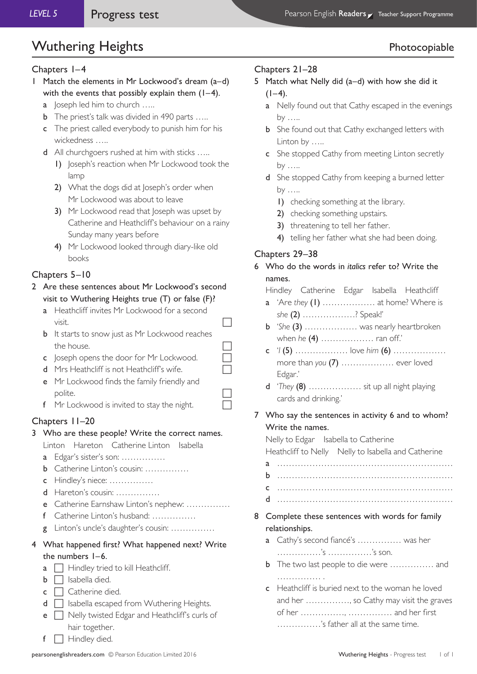# Wuthering Heights **Photocopiable**

#### Chapters 1–4

- 1 Match the elements in Mr Lockwood's dream (a–d) with the events that possibly explain them  $(1-4)$ .
	- a loseph led him to church .....
	- **b** The priest's talk was divided in 490 parts .....
	- c The priest called everybody to punish him for his wickedness …..
	- d All churchgoers rushed at him with sticks …..
		- 1) Joseph's reaction when Mr Lockwood took the lamp
		- 2) What the dogs did at Joseph's order when Mr Lockwood was about to leave
		- 3) Mr Lockwood read that Joseph was upset by Catherine and Heathcliff's behaviour on a rainy Sunday many years before
		- 4) Mr Lockwood looked through diary-like old books

### Chapters 5–10

- 2 Are these sentences about Mr Lockwood's second visit to Wuthering Heights true (T) or false (F)?
	- a Heathcliff invites Mr Lockwood for a second  $\sqrt{ }$  visit.
	- **b** It starts to snow just as Mr Lockwood reaches the house.
	- c  $\log p$  opens the door for Mr Lockwood.
	- d Mrs Heathcliff is not Heathcliff's wife.
	- e Mr Lockwood finds the family friendly and polite.  $\Box$
	- f Mr Lockwood is invited to stay the night.

### Chapters 11–20

- 3 Who are these people? Write the correct names.
	- Linton Hareton Catherine Linton Isabella
	- a Edgar's sister's son: ……………
	- b Catherine Linton's cousin: ……………
	- c Hindley's niece: ……………
	- d Hareton's cousin: ……………
	- e Catherine Earnshaw Linton's nephew: ……………
	- f Catherine Linton's husband: ……………
	- g Linton's uncle's daughter's cousin: ……………

### 4 What happened first? What happened next? Write the numbers 1–6.

- $a \Box$  Hindley tried to kill Heathcliff.
- $\mathsf{b} \ \Box$  Isabella died.
- $c \Box$  Catherine died.
- $d \Box$  Isabella escaped from Wuthering Heights.
- e  $\Box$  Nelly twisted Edgar and Heathcliff's curls of hair together.
- $f \Box$  Hindley died.

#### Chapters 21–28

- 5 Match what Nelly did (a–d) with how she did it  $(1-4)$ .
	- a Nelly found out that Cathy escaped in the evenings by …..
	- **b** She found out that Cathy exchanged letters with Linton by …..
	- c She stopped Cathy from meeting Linton secretly by …..
	- d She stopped Cathy from keeping a burned letter by …..
		- 1) checking something at the library.
		- 2) checking something upstairs.
		- 3) threatening to tell her father.
		- 4) telling her father what she had been doing.

#### Chapters 29–38

- 6 Who do the words in *italics* refer to? Write the names.
	- Hindley Catherine Edgar Isabella Heathcliff
	- a 'Are *they* (1) ……………… at home? Where is *she* (2) ………………? Speak!'
	- b '*She* (3) ……………… was nearly heartbroken when *he* (4) ……………… ran off.'
	- c '*I* (5) ……………… love *him* (6) ……………… more than *you* (7) ……………… ever loved Edgar.'
	- d '*They* (8) ……………… sit up all night playing cards and drinking.'
- 7 Who say the sentences in activity 6 and to whom? Write the names.

Nelly to Edgar Isabella to Catherine Heathcliff to Nelly Nelly to Isabella and Catherine a …………………………………………………… b ……………………………………………………

- c …………………………………………………… d ……………………………………………………
- 8 Complete these sentences with words for family relationships.
	- a Cathy's second fiancé's …………… was her ……………'s ……………'s son.
	- **b** The two last people to die were ............... and …………………
	- c Heathcliff is buried next to the woman he loved and her ……………, so Cathy may visit the graves of her ……………, …………… and her first ……………'s father all at the same time.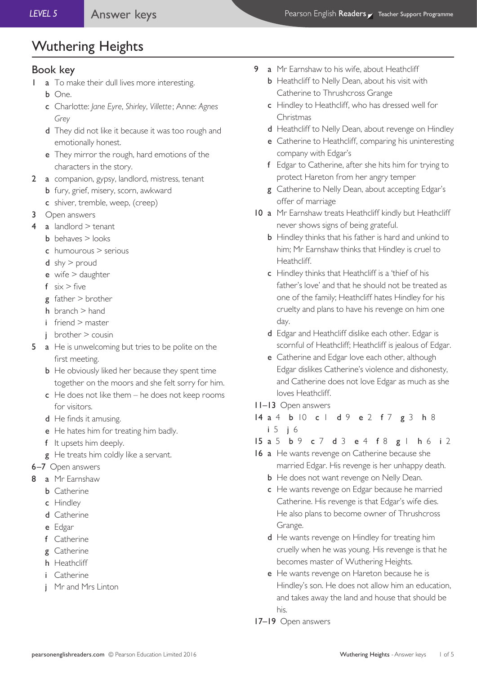### Book key

- 1 **a** To make their dull lives more interesting.
	- b One.
	- c Charlotte: *Jane Eyre*, *Shirley*, *Villette*; Anne: *Agnes Grey*
	- d They did not like it because it was too rough and emotionally honest.
	- e They mirror the rough, hard emotions of the characters in the story.
- 2 a companion, gypsy, landlord, mistress, tenant
	- **b** fury, grief, misery, scorn, awkward
	- c shiver, tremble, weep, (creep)
- 3 Open answers
- 4 a landlord  $>$  tenant
	- $b$  behaves  $>$  looks
	- c humourous > serious
	- $d$  shy  $>$  proud
	- e wife > daughter
	- $f$  six > five
	- $g$  father  $>$  brother
	- h branch > hand
	- i friend > master
	- $i$  brother  $>$  cousin
- 5 a He is unwelcoming but tries to be polite on the first meeting.
	- **b** He obviously liked her because they spent time together on the moors and she felt sorry for him.
	- $c$  He does not like them he does not keep rooms for visitors.
	- d He finds it amusing.
	- e He hates him for treating him badly.
	- f It upsets him deeply.
	- g He treats him coldly like a servant.
- 6–7 Open answers
- 8 a Mr Earnshaw
	- **b** Catherine
	- c Hindley
	- d Catherine
	- e Edgar
	- f Catherine
	- g Catherine
	- h Heathcliff
	- i Catherine
	- j Mr and Mrs Linton
- 9 a Mr Earnshaw to his wife, about Heathcliff
	- **b** Heathcliff to Nelly Dean, about his visit with Catherine to Thrushcross Grange
	- c Hindley to Heathcliff, who has dressed well for Christmas
	- d Heathcliff to Nelly Dean, about revenge on Hindley
	- e Catherine to Heathcliff, comparing his uninteresting company with Edgar's
	- f Edgar to Catherine, after she hits him for trying to protect Hareton from her angry temper
	- g Catherine to Nelly Dean, about accepting Edgar's offer of marriage
- 10 a Mr Earnshaw treats Heathcliff kindly but Heathcliff never shows signs of being grateful.
	- **b** Hindley thinks that his father is hard and unkind to him; Mr Earnshaw thinks that Hindley is cruel to Heathcliff.
	- c Hindley thinks that Heathcliff is a 'thief of his father's love' and that he should not be treated as one of the family; Heathcliff hates Hindley for his cruelty and plans to have his revenge on him one day.
	- d Edgar and Heathcliff dislike each other. Edgar is scornful of Heathcliff; Heathcliff is jealous of Edgar.
	- e Catherine and Edgar love each other, although Edgar dislikes Catherine's violence and dishonesty, and Catherine does not love Edgar as much as she loves Heathcliff.

#### 11–13 Open answers

14 a 4 b 10 c 1 d 9 e 2 f 7 g 3 h 8 i 5 j 6

15 a 5 b 9 c 7 d 3 e 4 f 8 g 1 h 6 i 2

- 16 a He wants revenge on Catherine because she married Edgar. His revenge is her unhappy death.
	- **b** He does not want revenge on Nelly Dean.
	- c He wants revenge on Edgar because he married Catherine. His revenge is that Edgar's wife dies. He also plans to become owner of Thrushcross Grange.
	- d He wants revenge on Hindley for treating him cruelly when he was young. His revenge is that he becomes master of Wuthering Heights.
	- e He wants revenge on Hareton because he is Hindley's son. He does not allow him an education, and takes away the land and house that should be his.
- 17–19 Open answers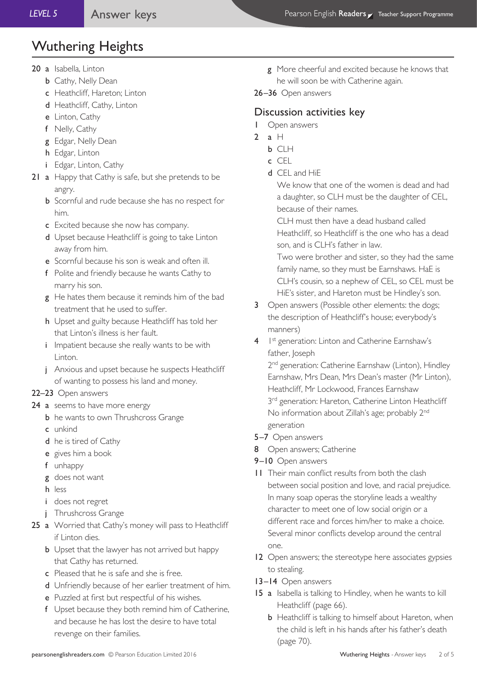- 20 a Isabella, Linton
	- **b** Cathy, Nelly Dean
	- c Heathcliff, Hareton; Linton
	- d Heathcliff, Cathy, Linton
	- e Linton, Cathy
	- f Nelly, Cathy
	- g Edgar, Nelly Dean
	- h Edgar, Linton
	- i Edgar, Linton, Cathy
- 21 a Happy that Cathy is safe, but she pretends to be angry.
	- **b** Scornful and rude because she has no respect for him.
	- c Excited because she now has company.
	- d Upset because Heathcliff is going to take Linton away from him.
	- e Scornful because his son is weak and often ill.
	- f Polite and friendly because he wants Cathy to marry his son.
	- g He hates them because it reminds him of the bad treatment that he used to suffer.
	- h Upset and guilty because Heathcliff has told her that Linton's illness is her fault.
	- i Impatient because she really wants to be with Linton.
	- j Anxious and upset because he suspects Heathcliff of wanting to possess his land and money.

#### 22–23 Open answers

- 24 a seems to have more energy
	- **b** he wants to own Thrushcross Grange
	- c unkind
	- d he is tired of Cathy
	- e gives him a book
	- f unhappy
	- g does not want
	- h less
	- i does not regret
	- j Thrushcross Grange
- 25 a Worried that Cathy's money will pass to Heathcliff if Linton dies.
	- **b** Upset that the lawyer has not arrived but happy that Cathy has returned.
	- c Pleased that he is safe and she is free.
	- d Unfriendly because of her earlier treatment of him.
	- e Puzzled at first but respectful of his wishes.
	- f Upset because they both remind him of Catherine, and because he has lost the desire to have total revenge on their families.
- g More cheerful and excited because he knows that he will soon be with Catherine again.
- 26–36 Open answers

### Discussion activities key

- 1 Open answers
- 2 a  $H$ 
	- b CLH
	- c CEL
	- d CEL and HiE

 We know that one of the women is dead and had a daughter, so CLH must be the daughter of CEL, because of their names.

 CLH must then have a dead husband called Heathcliff, so Heathcliff is the one who has a dead son, and is CLH's father in law.

 Two were brother and sister, so they had the same family name, so they must be Earnshaws. HaE is CLH's cousin, so a nephew of CEL, so CEL must be HiE's sister, and Hareton must be Hindley's son.

- 3 Open answers (Possible other elements: the dogs; the description of Heathcliff's house; everybody's manners)
- 4 1st generation: Linton and Catherine Earnshaw's father, Joseph

2<sup>nd</sup> generation: Catherine Earnshaw (Linton), Hindley Earnshaw, Mrs Dean, Mrs Dean's master (Mr Linton), Heathcliff, Mr Lockwood, Frances Earnshaw 3<sup>rd</sup> generation: Hareton, Catherine Linton Heathcliff No information about Zillah's age; probably 2nd generation

- 5–7 Open answers
- 8 Open answers; Catherine
- 9–10 Open answers
- 11 Their main conflict results from both the clash between social position and love, and racial prejudice. In many soap operas the storyline leads a wealthy character to meet one of low social origin or a different race and forces him/her to make a choice. Several minor conflicts develop around the central one.
- 12 Open answers; the stereotype here associates gypsies to stealing.
- 13–14 Open answers
- 15 a Isabella is talking to Hindley, when he wants to kill Heathcliff (page 66).
	- **b** Heathcliff is talking to himself about Hareton, when the child is left in his hands after his father's death (page 70).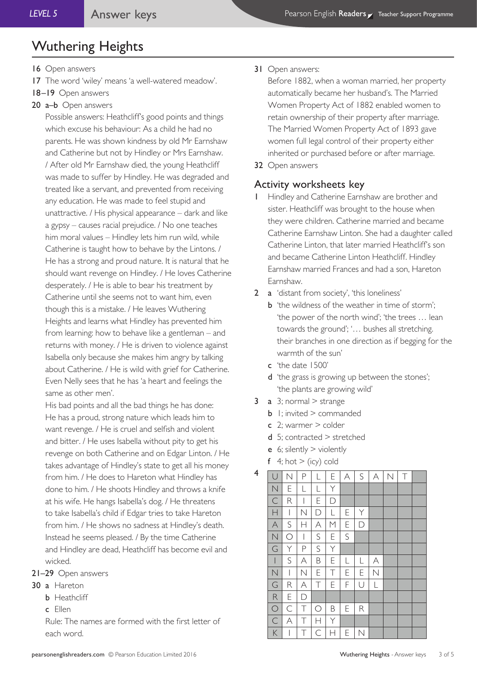- 16 Open answers
- 17 The word 'wiley' means 'a well-watered meadow'.
- 18–19 Open answers
- 20 a–b Open answers

Possible answers: Heathcliff's good points and things which excuse his behaviour: As a child he had no parents. He was shown kindness by old Mr Earnshaw and Catherine but not by Hindley or Mrs Earnshaw. / After old Mr Earnshaw died, the young Heathcliff was made to suffer by Hindley. He was degraded and treated like a servant, and prevented from receiving any education. He was made to feel stupid and unattractive. / His physical appearance – dark and like a gypsy – causes racial prejudice. / No one teaches him moral values – Hindley lets him run wild, while Catherine is taught how to behave by the Lintons. / He has a strong and proud nature. It is natural that he should want revenge on Hindley. / He loves Catherine desperately. / He is able to bear his treatment by Catherine until she seems not to want him, even though this is a mistake. / He leaves Wuthering Heights and learns what Hindley has prevented him from learning: how to behave like a gentleman – and returns with money. / He is driven to violence against Isabella only because she makes him angry by talking about Catherine. / He is wild with grief for Catherine. Even Nelly sees that he has 'a heart and feelings the same as other men'.

His bad points and all the bad things he has done: He has a proud, strong nature which leads him to want revenge. / He is cruel and selfish and violent and bitter. / He uses Isabella without pity to get his revenge on both Catherine and on Edgar Linton. / He takes advantage of Hindley's state to get all his money from him. / He does to Hareton what Hindley has done to him. / He shoots Hindley and throws a knife at his wife. He hangs Isabella's dog. / He threatens to take Isabella's child if Edgar tries to take Hareton from him. / He shows no sadness at Hindley's death. Instead he seems pleased. / By the time Catherine and Hindley are dead, Heathcliff has become evil and wicked.

- 21–29 Open answers
- 30 a Hareton
	- **b** Heathcliff
	- c Ellen

Rule: The names are formed with the first letter of each word.

Before 1882, when a woman married, her property automatically became her husband's. The Married Women Property Act of 1882 enabled women to retain ownership of their property after marriage. The Married Women Property Act of 1893 gave women full legal control of their property either inherited or purchased before or after marriage.

32 Open answers

### Activity worksheets key

- Hindley and Catherine Earnshaw are brother and sister. Heathcliff was brought to the house when they were children. Catherine married and became Catherine Earnshaw Linton. She had a daughter called Catherine Linton, that later married Heathcliff's son and became Catherine Linton Heathcliff. Hindley Earnshaw married Frances and had a son, Hareton Earnshaw.
- 2 a 'distant from society', 'this loneliness'
	- **b** 'the wildness of the weather in time of storm': 'the power of the north wind'; 'the trees … lean towards the ground'; '… bushes all stretching. their branches in one direction as if begging for the warmth of the sun'
	- c 'the date 1500'
	- d 'the grass is growing up between the stones'; 'the plants are growing wild'
- 3 a  $3$ ; normal  $>$  strange
	- **b** 1: invited  $>$  commanded
	- $c$  2; warmer  $\ge$  colder
	- $d$  5; contracted  $>$  stretched
	- e 6; silently  $>$  violently
	- $f$  4; hot  $>$  (icy) cold

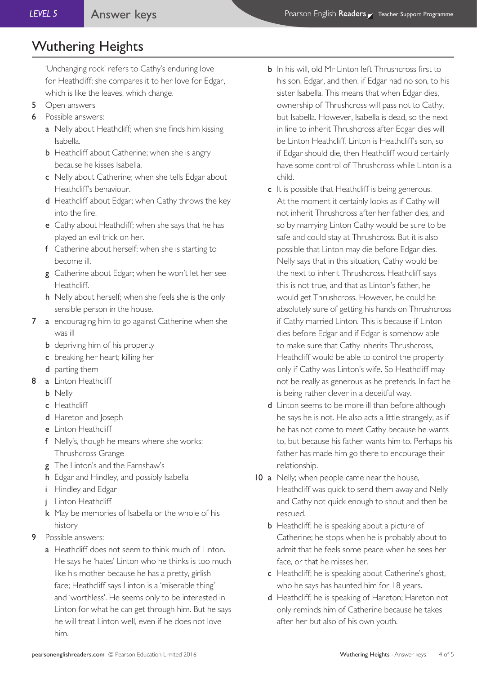'Unchanging rock' refers to Cathy's enduring love for Heathcliff; she compares it to her love for Edgar, which is like the leaves, which change.

- 5 Open answers
- 6 Possible answers:
	- a Nelly about Heathcliff; when she finds him kissing Isabella.
	- **b** Heathcliff about Catherine; when she is angry because he kisses Isabella.
	- c Nelly about Catherine; when she tells Edgar about Heathcliff's behaviour.
	- d Heathcliff about Edgar; when Cathy throws the key into the fire.
	- e Cathy about Heathcliff; when she says that he has played an evil trick on her.
	- f Catherine about herself; when she is starting to become ill.
	- g Catherine about Edgar; when he won't let her see Heathcliff.
	- h Nelly about herself; when she feels she is the only sensible person in the house.
- 7 a encouraging him to go against Catherine when she was ill
	- **b** depriving him of his property
	- c breaking her heart; killing her
	- d parting them
- 8 a Linton Heathcliff
	- b Nelly
	- c Heathcliff
	- d Hareton and Joseph
	- e Linton Heathcliff
	- f Nelly's, though he means where she works: Thrushcross Grange
	- g The Linton's and the Earnshaw's
	- h Edgar and Hindley, and possibly Isabella
	- i Hindley and Edgar
	- j Linton Heathcliff
	- k May be memories of Isabella or the whole of his history
- Possible answers:
	- a Heathcliff does not seem to think much of Linton. He says he 'hates' Linton who he thinks is too much like his mother because he has a pretty, girlish face; Heathcliff says Linton is a 'miserable thing' and 'worthless'. He seems only to be interested in Linton for what he can get through him. But he says he will treat Linton well, even if he does not love him.
- b In his will, old Mr Linton left Thrushcross first to his son, Edgar, and then, if Edgar had no son, to his sister Isabella. This means that when Edgar dies, ownership of Thrushcross will pass not to Cathy, but Isabella. However, Isabella is dead, so the next in line to inherit Thrushcross after Edgar dies will be Linton Heathcliff. Linton is Heathcliff's son, so if Edgar should die, then Heathcliff would certainly have some control of Thrushcross while Linton is a child.
- c It is possible that Heathcliff is being generous. At the moment it certainly looks as if Cathy will not inherit Thrushcross after her father dies, and so by marrying Linton Cathy would be sure to be safe and could stay at Thrushcross. But it is also possible that Linton may die before Edgar dies. Nelly says that in this situation, Cathy would be the next to inherit Thrushcross. Heathcliff says this is not true, and that as Linton's father, he would get Thrushcross. However, he could be absolutely sure of getting his hands on Thrushcross if Cathy married Linton. This is because if Linton dies before Edgar and if Edgar is somehow able to make sure that Cathy inherits Thrushcross, Heathcliff would be able to control the property only if Cathy was Linton's wife. So Heathcliff may not be really as generous as he pretends. In fact he is being rather clever in a deceitful way.
- d Linton seems to be more ill than before although he says he is not. He also acts a little strangely, as if he has not come to meet Cathy because he wants to, but because his father wants him to. Perhaps his father has made him go there to encourage their relationship.
- 10 a Nelly; when people came near the house, Heathcliff was quick to send them away and Nelly and Cathy not quick enough to shout and then be rescued.
	- **b** Heathcliff; he is speaking about a picture of Catherine; he stops when he is probably about to admit that he feels some peace when he sees her face, or that he misses her.
	- c Heathcliff; he is speaking about Catherine's ghost, who he says has haunted him for 18 years.
	- d Heathcliff; he is speaking of Hareton; Hareton not only reminds him of Catherine because he takes after her but also of his own youth.